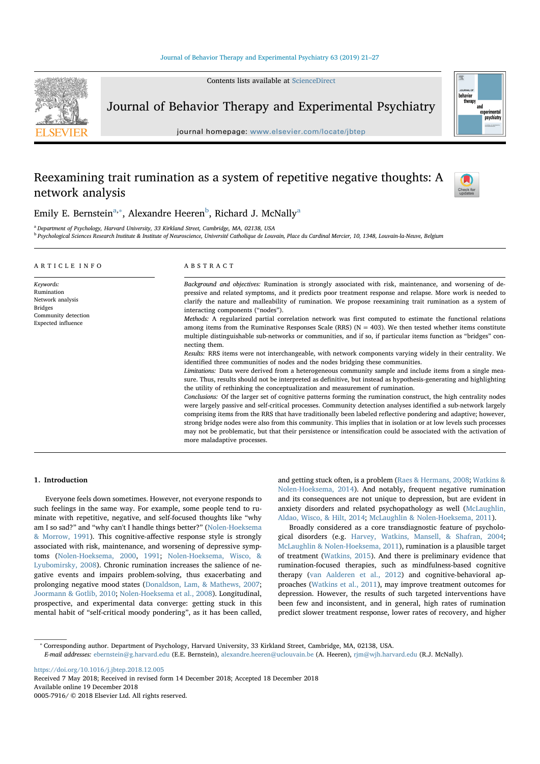Contents lists available at ScienceDirect



Journal of Behavior Therapy and Experimental Psychiatry

journal homepage: www.elsevier.com/locate/jbtep

# Reexamining trait rumination as a system of repetitive negative thoughts: A network analysis





Emily E. Bernstein<sup>a,∗</sup>, Alexandre Heeren<sup>b</sup>, Richard J. McNally<sup>a</sup>

<sup>a</sup> Department of Psychology, Harvard University, 33 Kirkland Street, Cambridge, MA, 02138, USA

<sup>b</sup> Psychological Sciences Research Institute & Institute of Neuroscience, Université Catholique de Louvain, Place du Cardinal Mercier, 10, 1348, Louvain-la-Neuve, Belgium

| ARTICLE INFO                                                                                               | ABSTRACT                                                                                                                                                                                                                                                                                                                                                                                                                                                                                                                                                                                                                                                                                                                                                                                                                                                                                                                                                                                                                                                                                                                                                                                                                                                                                                                                                                                                                                                                                                                                                                                                                                                                                                                                                                                                                                                                                            |
|------------------------------------------------------------------------------------------------------------|-----------------------------------------------------------------------------------------------------------------------------------------------------------------------------------------------------------------------------------------------------------------------------------------------------------------------------------------------------------------------------------------------------------------------------------------------------------------------------------------------------------------------------------------------------------------------------------------------------------------------------------------------------------------------------------------------------------------------------------------------------------------------------------------------------------------------------------------------------------------------------------------------------------------------------------------------------------------------------------------------------------------------------------------------------------------------------------------------------------------------------------------------------------------------------------------------------------------------------------------------------------------------------------------------------------------------------------------------------------------------------------------------------------------------------------------------------------------------------------------------------------------------------------------------------------------------------------------------------------------------------------------------------------------------------------------------------------------------------------------------------------------------------------------------------------------------------------------------------------------------------------------------------|
| Keywords:<br>Rumination<br>Network analysis<br><b>Bridges</b><br>Community detection<br>Expected influence | Background and objectives: Rumination is strongly associated with risk, maintenance, and worsening of de-<br>pressive and related symptoms, and it predicts poor treatment response and relapse. More work is needed to<br>clarify the nature and malleability of rumination. We propose reexamining trait rumination as a system of<br>interacting components ("nodes").<br>Methods: A regularized partial correlation network was first computed to estimate the functional relations<br>among items from the Ruminative Responses Scale (RRS) ( $N = 403$ ). We then tested whether items constitute<br>multiple distinguishable sub-networks or communities, and if so, if particular items function as "bridges" con-<br>necting them.<br>Results: RRS items were not interchangeable, with network components varying widely in their centrality. We<br>identified three communities of nodes and the nodes bridging these communities.<br>Limitations: Data were derived from a heterogeneous community sample and include items from a single mea-<br>sure. Thus, results should not be interpreted as definitive, but instead as hypothesis-generating and highlighting<br>the utility of rethinking the conceptualization and measurement of rumination.<br>Conclusions: Of the larger set of cognitive patterns forming the rumination construct, the high centrality nodes<br>were largely passive and self-critical processes. Community detection analyses identified a sub-network largely<br>comprising items from the RRS that have traditionally been labeled reflective pondering and adaptive; however,<br>strong bridge nodes were also from this community. This implies that in isolation or at low levels such processes<br>may not be problematic, but that their persistence or intensification could be associated with the activation of<br>more maladaptive processes. |

### 1. Introduction

Everyone feels down sometimes. However, not everyone responds to such feelings in the same way. For example, some people tend to ruminate with repetitive, negative, and self-focused thoughts like "why am I so sad?" and "why can't I handle things better?" (Nolen-Hoeksema & Morrow, 1991). This cognitive-affective response style is strongly associated with risk, maintenance, and worsening of depressive symptoms (Nolen-Hoeksema, 2000, 1991; Nolen-Hoeksema, Wisco, & Lyubomirsky, 2008). Chronic rumination increases the salience of negative events and impairs problem-solving, thus exacerbating and prolonging negative mood states (Donaldson, Lam, & Mathews, 2007; Joormann & Gotlib, 2010; Nolen-Hoeksema et al., 2008). Longitudinal, prospective, and experimental data converge: getting stuck in this mental habit of "self-critical moody pondering", as it has been called, and getting stuck often, is a problem (Raes & Hermans, 2008; Watkins & Nolen-Hoeksema, 2014). And notably, frequent negative rumination and its consequences are not unique to depression, but are evident in anxiety disorders and related psychopathology as well (McLaughlin, Aldao, Wisco, & Hilt, 2014; McLaughlin & Nolen-Hoeksema, 2011).

Broadly considered as a core transdiagnostic feature of psychological disorders (e.g. Harvey, Watkins, Mansell, & Shafran, 2004; McLaughlin & Nolen-Hoeksema, 2011), rumination is a plausible target of treatment (Watkins, 2015). And there is preliminary evidence that rumination-focused therapies, such as mindfulness-based cognitive therapy (van Aalderen et al., 2012) and cognitive-behavioral approaches (Watkins et al., 2011), may improve treatment outcomes for depression. However, the results of such targeted interventions have been few and inconsistent, and in general, high rates of rumination predict slower treatment response, lower rates of recovery, and higher

https://doi.org/10.1016/j.jbtep.2018.12.005 Received 7 May 2018; Received in revised form 14 December 2018; Accepted 18 December 2018<br>Available online 19 December 2018

<sup>∗</sup> Corresponding author. Department of Psychology, Harvard University, 33 Kirkland Street, Cambridge, MA, 02138, USA.

E-mail addresses: ebernstein@g.harvard.edu (E.E. Bernstein), alexandre.heeren@uclouvain.be (A. Heeren), rjm@wjh.harvard.edu (R.J. McNally).

<sup>0005-7916/</sup>  $@$  2018 Elsevier Ltd. All rights reserved.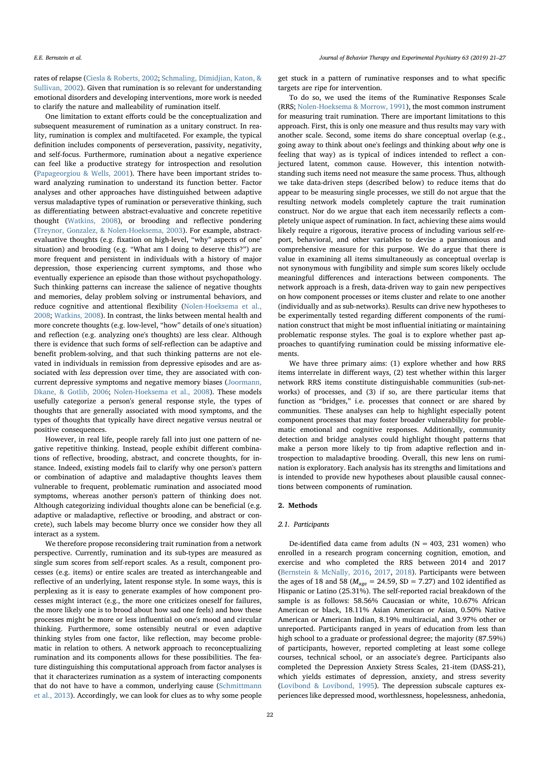rates of relapse (Ciesla & Roberts, 2002; Schmaling, Dimidjian, Katon, & Sullivan, 2002). Given that rumination is so relevant for understanding emotional disorders and developing interventions, more work is needed to clarify the nature and malleability of rumination itself.

One limitation to extant efforts could be the conceptualization and subsequent measurement of rumination as a unitary construct. In reality, rumination is complex and multifaceted. For example, the typical definition includes components of perseveration, passivity, negativity, and self-focus. Furthermore, rumination about a negative experience can feel like a productive strategy for introspection and resolution (Papageorgiou & Wells, 2001). There have been important strides toward analyzing rumination to understand its function better. Factor analyses and other approaches have distinguished between adaptive versus maladaptive types of rumination or perseverative thinking, such as differentiating between abstract-evaluative and concrete repetitive thought (Watkins, 2008), or brooding and reflective pondering (Treynor, Gonzalez, & Nolen-Hoeksema, 2003). For example, abstractevaluative thoughts (e.g. fixation on high-level, "why" aspects of one' situation) and brooding (e.g. "What am I doing to deserve this?") are more frequent and persistent in individuals with a history of major depression, those experiencing current symptoms, and those who eventually experience an episode than those without psychopathology. Such thinking patterns can increase the salience of negative thoughts and memories, delay problem solving or instrumental behaviors, and reduce cognitive and attentional flexibility (Nolen-Hoeksema et al., 2008; Watkins, 2008). In contrast, the links between mental health and more concrete thoughts (e.g. low-level, "how" details of one's situation) and reflection (e.g. analyzing one's thoughts) are less clear. Although there is evidence that such forms of self-reflection can be adaptive and benefit problem-solving, and that such thinking patterns are not elevated in individuals in remission from depressive episodes and are associated with less depression over time, they are associated with concurrent depressive symptoms and negative memory biases (Joormann, Dkane, & Gotlib, 2006; Nolen-Hoeksema et al., 2008). These models usefully categorize a person's general response style, the types of thoughts that are generally associated with mood symptoms, and the types of thoughts that typically have direct negative versus neutral or positive consequences.

However, in real life, people rarely fall into just one pattern of negative repetitive thinking. Instead, people exhibit different combinations of reflective, brooding, abstract, and concrete thoughts, for instance. Indeed, existing models fail to clarify why one person's pattern or combination of adaptive and maladaptive thoughts leaves them vulnerable to frequent, problematic rumination and associated mood symptoms, whereas another person's pattern of thinking does not. Although categorizing individual thoughts alone can be beneficial (e.g. adaptive or maladaptive, reflective or brooding, and abstract or concrete), such labels may become blurry once we consider how they all interact as a system.

We therefore propose reconsidering trait rumination from a network perspective. Currently, rumination and its sub-types are measured as single sum scores from self-report scales. As a result, component processes (e.g. items) or entire scales are treated as interchangeable and reflective of an underlying, latent response style. In some ways, this is perplexing as it is easy to generate examples of how component processes might interact (e.g., the more one criticizes oneself for failures, the more likely one is to brood about how sad one feels) and how these processes might be more or less influential on one's mood and circular thinking. Furthermore, some ostensibly neutral or even adaptive thinking styles from one factor, like reflection, may become problematic in relation to others. A network approach to reconceptualizing rumination and its components allows for these possibilities. The feature distinguishing this computational approach from factor analyses is that it characterizes rumination as a system of interacting components that do not have to have a common, underlying cause (Schmittmann et al., 2013). Accordingly, we can look for clues as to why some people get stuck in a pattern of ruminative responses and to what specific targets are ripe for intervention.

To do so, we used the items of the Ruminative Responses Scale (RRS; Nolen-Hoeksema & Morrow, 1991), the most common instrument for measuring trait rumination. There are important limitations to this approach. First, this is only one measure and thus results may vary with another scale. Second, some items do share conceptual overlap (e.g., going away to think about one's feelings and thinking about why one is feeling that way) as is typical of indices intended to reflect a conjectured latent, common cause. However, this intention notwithstanding such items need not measure the same process. Thus, although we take data-driven steps (described below) to reduce items that do appear to be measuring single processes, we still do not argue that the resulting network models completely capture the trait rumination construct. Nor do we argue that each item necessarily reflects a completely unique aspect of rumination. In fact, achieving these aims would likely require a rigorous, iterative process of including various self-report, behavioral, and other variables to devise a parsimonious and comprehensive measure for this purpose. We do argue that there is value in examining all items simultaneously as conceptual overlap is not synonymous with fungibility and simple sum scores likely occlude meaningful differences and interactions between components. The network approach is a fresh, data-driven way to gain new perspectives on how component processes or items cluster and relate to one another (individually and as sub-networks). Results can drive new hypotheses to be experimentally tested regarding different components of the rumination construct that might be most influential initiating or maintaining problematic response styles. The goal is to explore whether past approaches to quantifying rumination could be missing informative elements.

We have three primary aims: (1) explore whether and how RRS items interrelate in different ways, (2) test whether within this larger network RRS items constitute distinguishable communities (sub-networks) of processes, and (3) if so, are there particular items that function as "bridges," i.e. processes that connect or are shared by communities. These analyses can help to highlight especially potent component processes that may foster broader vulnerability for problematic emotional and cognitive responses. Additionally, community detection and bridge analyses could highlight thought patterns that make a person more likely to tip from adaptive reflection and introspection to maladaptive brooding. Overall, this new lens on rumination is exploratory. Each analysis has its strengths and limitations and is intended to provide new hypotheses about plausible causal connections between components of rumination.

### 2. Methods

### 2.1. Participants

De-identified data came from adults ( $N = 403$ , 231 women) who enrolled in a research program concerning cognition, emotion, and exercise and who completed the RRS between 2014 and 2017 (Bernstein & McNally, 2016, 2017, 2018). Participants were between the ages of 18 and 58 ( $M_{\text{age}} = 24.59$ , SD = 7.27) and 102 identified as Hispanic or Latino (25.31%). The self-reported racial breakdown of the sample is as follows: 58.56% Caucasian or white, 10.67% African American or black, 18.11% Asian American or Asian, 0.50% Native American or American Indian, 8.19% multiracial, and 3.97% other or unreported. Participants ranged in years of education from less than high school to a graduate or professional degree; the majority (87.59%) of participants, however, reported completing at least some college courses, technical school, or an associate's degree. Participants also completed the Depression Anxiety Stress Scales, 21-item (DASS-21), which yields estimates of depression, anxiety, and stress severity (Lovibond & Lovibond, 1995). The depression subscale captures experiences like depressed mood, worthlessness, hopelessness, anhedonia,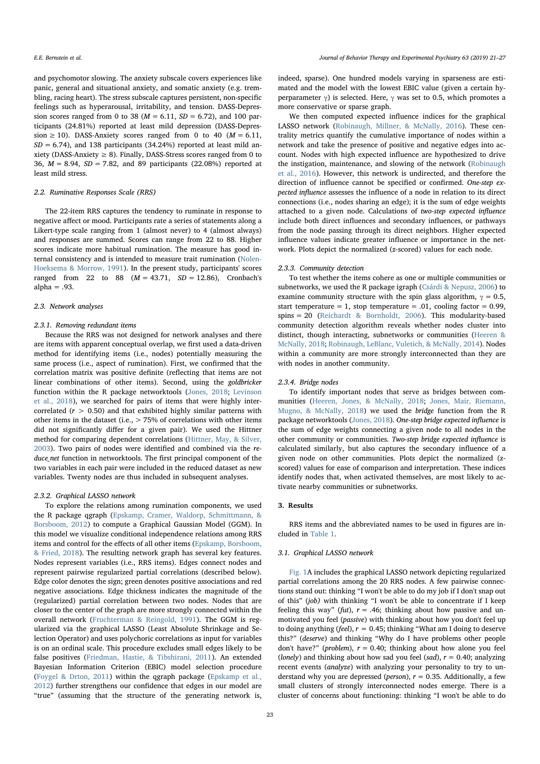and psychomotor slowing. The anxiety subscale covers experiences like panic, general and situational anxiety, and somatic anxiety (e.g. trembling, racing heart). The stress subscale captures persistent, non-specific feelings such as hyperarousal, irritability, and tension. DASS-Depression scores ranged from 0 to 38 ( $M = 6.11$ ,  $SD = 6.72$ ), and 100 participants (24.81%) reported at least mild depression (DASS-Depression  $\geq$  10). DASS-Anxiety scores ranged from 0 to 40 ( $M = 6.11$ ,  $SD = 6.74$ ), and 138 participants (34.24%) reported at least mild anxiety (DASS-Anxiety  $\geq$  8). Finally, DASS-Stress scores ranged from 0 to 36,  $M = 8.94$ ,  $SD = 7.82$ , and 89 participants (22.08%) reported at least mild stress.

### 2.2. Ruminative Responses Scale (RRS)

The 22-item RRS captures the tendency to ruminate in response to negative affect or mood. Participants rate a series of statements along a Likert-type scale ranging from 1 (almost never) to 4 (almost always) and responses are summed. Scores can range from 22 to 88. Higher scores indicate more habitual rumination. The measure has good internal consistency and is intended to measure trait rumination (Nolen-Hoeksema & Morrow, 1991). In the present study, participants' scores ranged from 22 to 88  $(M = 43.71, SD = 12.86)$ , Cronbach's  $alpha = .93$ .

#### 2.3. Network analyses

#### 2.3.1. Removing redundant items

Because the RRS was not designed for network analyses and there are items with apparent conceptual overlap, we first used a data-driven method for identifying items (i.e., nodes) potentially measuring the same process (i.e., aspect of rumination). First, we confirmed that the correlation matrix was positive definite (reflecting that items are not linear combinations of other items). Second, using the goldbricker function within the R package networktools (Jones, 2018; Levinson et al., 2018), we searched for pairs of items that were highly intercorrelated ( $r > 0.50$ ) and that exhibited highly similar patterns with other items in the dataset (i.e., > 75% of correlations with other items did not significantly differ for a given pair). We used the Hittner method for comparing dependent correlations (Hittner, May, & Silver, 2003). Two pairs of nodes were identified and combined via the reduce\_net function in networktools. The first principal component of the two variables in each pair were included in the reduced dataset as new variables. Twenty nodes are thus included in subsequent analyses.

#### 2.3.2. Graphical LASSO network

To explore the relations among rumination components, we used the R package qgraph (Epskamp, Cramer, Waldorp, Schmittmann, & Borsboom, 2012) to compute a Graphical Gaussian Model (GGM). In this model we visualize conditional independence relations among RRS items and control for the effects of all other items (Epskamp, Borsboom, & Fried, 2018). The resulting network graph has several key features. Nodes represent variables (i.e., RRS items). Edges connect nodes and represent pairwise regularized partial correlations (described below). Edge color denotes the sign; green denotes positive associations and red negative associations. Edge thickness indicates the magnitude of the (regularized) partial correlation between two nodes. Nodes that are closer to the center of the graph are more strongly connected within the overall network (Fruchterman & Reingold, 1991). The GGM is regularized via the graphical LASSO (Least Absolute Shrinkage and Selection Operator) and uses polychoric correlations as input for variables is on an ordinal scale. This procedure excludes small edges likely to be false positives (Friedman, Hastie, & Tibshirani, 2011). An extended Bayesian Information Criterion (EBIC) model selection procedure (Foygel & Drton, 2011) within the qgraph package (Epskamp et al., 2012) further strengthens our confidence that edges in our model are "true" (assuming that the structure of the generating network is, indeed, sparse). One hundred models varying in sparseness are estimated and the model with the lowest EBIC value (given a certain hyperparameter γ) is selected. Here, γ was set to 0.5, which promotes a more conservative or sparse graph.

We then computed expected influence indices for the graphical LASSO network (Robinaugh, Millner, & McNally, 2016). These centrality metrics quantify the cumulative importance of nodes within a network and take the presence of positive and negative edges into account. Nodes with high expected influence are hypothesized to drive the instigation, maintenance, and slowing of the network (Robinaugh et al., 2016). However, this network is undirected, and therefore the direction of influence cannot be specified or confirmed. One-step expected influence assesses the influence of a node in relation to its direct connections (i.e., nodes sharing an edge); it is the sum of edge weights attached to a given node. Calculations of two-step expected influence include both direct influences and secondary influences, or pathways from the node passing through its direct neighbors. Higher expected influence values indicate greater influence or importance in the network. Plots depict the normalized (z-scored) values for each node.

### 2.3.3. Community detection

To test whether the items cohere as one or multiple communities or subnetworks, we used the R package igraph (Csárdi & Nepusz, 2006) to examine community structure with the spin glass algorithm,  $\gamma = 0.5$ , start temperature = 1, stop temperature = .01, cooling factor =  $0.99$ , spins = 20 (Reichardt & Bornholdt, 2006). This modularity-based community detection algorithm reveals whether nodes cluster into distinct, though interacting, subnetworks or communities (Heeren & McNally, 2018; Robinaugh, LeBlanc, Vuletich, & McNally, 2014). Nodes within a community are more strongly interconnected than they are with nodes in another community.

### 2.3.4. Bridge nodes

To identify important nodes that serve as bridges between communities (Heeren, Jones, & McNally, 2018; Jones, Mair, Riemann, Mugno, & McNally, 2018) we used the bridge function from the R package networktools (Jones, 2018). One-step bridge expected influence is the sum of edge weights connecting a given node to all nodes in the other community or communities. Two-step bridge expected influence is calculated similarly, but also captures the secondary influence of a given node on other communities. Plots depict the normalized (zscored) values for ease of comparison and interpretation. These indices identify nodes that, when activated themselves, are most likely to activate nearby communities or subnetworks.

### 3. Results

RRS items and the abbreviated names to be used in figures are included in Table 1.

### 3.1. Graphical LASSO network

Fig. 1A includes the graphical LASSO network depicting regularized partial correlations among the 20 RRS nodes. A few pairwise connections stand out: thinking "I won't be able to do my job if I don't snap out of this" (job) with thinking "I won't be able to concentrate if I keep feeling this way" (fut),  $r = .46$ ; thinking about how passive and unmotivated you feel (passive) with thinking about how you don't feel up to doing anything (feel),  $r = 0.45$ ; thinking "What am I doing to deserve this?" (deserve) and thinking "Why do I have problems other people don't have?" (problem),  $r = 0.40$ ; thinking about how alone you feel (lonely) and thinking about how sad you feel (sad),  $r = 0.40$ ; analyzing recent events (analyze) with analyzing your personality to try to understand why you are depressed (*person*),  $r = 0.35$ . Additionally, a few small clusters of strongly interconnected nodes emerge. There is a cluster of concerns about functioning: thinking "I won't be able to do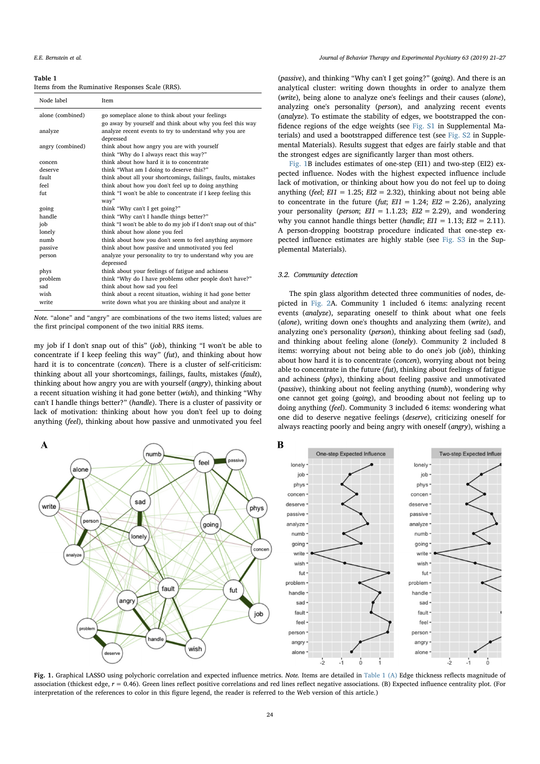#### Table 1

Items from the Ruminative Responses Scale (RRS).

| Node label       | Item                                                                                                         |
|------------------|--------------------------------------------------------------------------------------------------------------|
| alone (combined) | go someplace alone to think about your feelings<br>go away by yourself and think about why you feel this way |
| analyze          | analyze recent events to try to understand why you are<br>depressed                                          |
| angry (combined) | think about how angry you are with yourself                                                                  |
| concen           | think "Why do I always react this way?"<br>think about how hard it is to concentrate                         |
| deserve          | think "What am I doing to deserve this?"                                                                     |
| fault            | think about all your shortcomings, failings, faults, mistakes                                                |
| feel             | think about how you don't feel up to doing anything                                                          |
| fut              | think "I won't be able to concentrate if I keep feeling this                                                 |
|                  | way"                                                                                                         |
| going            | think "Why can't I get going?"                                                                               |
| handle           | think "Why can't I handle things better?"                                                                    |
| job              | think "I won't be able to do my job if I don't snap out of this"                                             |
| lonely           | think about how alone you feel                                                                               |
| numb             | think about how you don't seem to feel anything anymore                                                      |
| passive          | think about how passive and unmotivated you feel                                                             |
| person           | analyze your personality to try to understand why you are<br>depressed                                       |
| phys             | think about your feelings of fatigue and achiness                                                            |
| problem          | think "Why do I have problems other people don't have?"                                                      |
| sad              | think about how sad you feel                                                                                 |
| wish             | think about a recent situation, wishing it had gone better                                                   |
| write            | write down what you are thinking about and analyze it                                                        |
|                  |                                                                                                              |

Note. "alone" and "angry" are combinations of the two items listed; values are the first principal component of the two initial RRS items.

my job if I don't snap out of this" (job), thinking "I won't be able to concentrate if I keep feeling this way" (fut), and thinking about how hard it is to concentrate (concen). There is a cluster of self-criticism: thinking about all your shortcomings, failings, faults, mistakes (fault), thinking about how angry you are with yourself (angry), thinking about a recent situation wishing it had gone better (wish), and thinking "Why can't I handle things better?" (handle). There is a cluster of passivity or lack of motivation: thinking about how you don't feel up to doing anything (feel), thinking about how passive and unmotivated you feel

(passive), and thinking "Why can't I get going?" (going). And there is an analytical cluster: writing down thoughts in order to analyze them (write), being alone to analyze one's feelings and their causes (alone), analyzing one's personality (person), and analyzing recent events (analyze). To estimate the stability of edges, we bootstrapped the confidence regions of the edge weights (see Fig. S1 in Supplemental Materials) and used a bootstrapped difference test (see Fig. S2 in Supplemental Materials). Results suggest that edges are fairly stable and that the strongest edges are significantly larger than most others.

Fig. 1B includes estimates of one-step (EI1) and two-step (EI2) expected influence. Nodes with the highest expected influence include lack of motivation, or thinking about how you do not feel up to doing anything (feel;  $EI1 = 1.25$ ;  $EI2 = 2.32$ ), thinking about not being able to concentrate in the future (fut;  $EII = 1.24$ ;  $EIZ = 2.26$ ), analyzing your personality (*person*;  $E/I = 1.1.23$ ;  $EIZ = 2.29$ ), and wondering why you cannot handle things better (handle;  $EII = 1.13$ ;  $EIZ = 2.11$ ). A person-dropping bootstrap procedure indicated that one-step expected influence estimates are highly stable (see Fig. S3 in the Supplemental Materials).

### 3.2. Community detection

The spin glass algorithm detected three communities of nodes, depicted in Fig. 2A. Community 1 included 6 items: analyzing recent events (analyze), separating oneself to think about what one feels (alone), writing down one's thoughts and analyzing them (write), and analyzing one's personality (person), thinking about feeling sad (sad), and thinking about feeling alone (lonely). Community 2 included 8 items: worrying about not being able to do one's job (job), thinking about how hard it is to concentrate (concen), worrying about not being able to concentrate in the future (fut), thinking about feelings of fatigue and achiness (phys), thinking about feeling passive and unmotivated (passive), thinking about not feeling anything (numb), wondering why one cannot get going (going), and brooding about not feeling up to doing anything (feel). Community 3 included 6 items: wondering what one did to deserve negative feelings (deserve), criticizing oneself for always reacting poorly and being angry with oneself (angry), wishing a



Fig. 1. Graphical LASSO using polychoric correlation and expected influence metrics. Note. Items are detailed in Table 1 (A) Edge thickness reflects magnitude of association (thickest edge,  $r = 0.46$ ). Green lines reflect positive correlations and red lines reflect negative associations. (B) Expected influence centrality plot. (For interpretation of the references to color in this figure legend, the reader is referred to the Web version of this article.)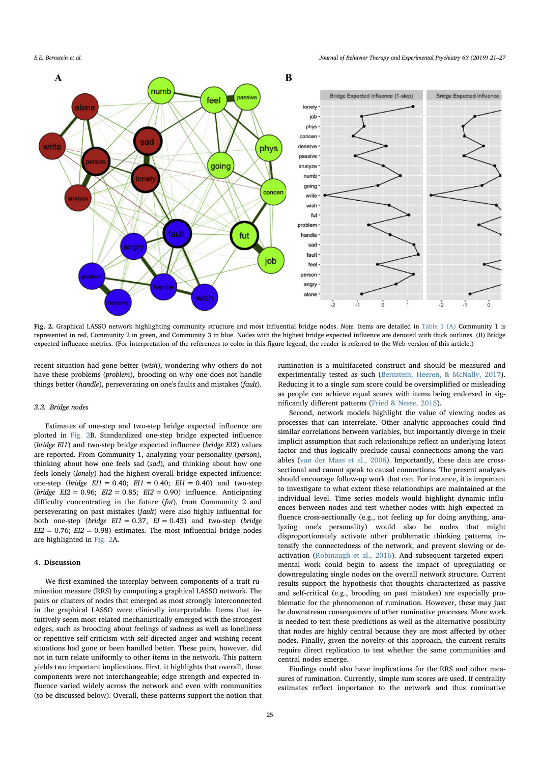

Fig. 2. Graphical LASSO network highlighting community structure and most influential bridge nodes. Note. Items are detailed in Table 1 (A) Community 1 is represented in red, Community 2 in green, and Community 3 in blue. Nodes with the highest bridge expected influence are denoted with thick outlines. (B) Bridge expected influence metrics. (For interpretation of the references to color in this figure legend, the reader is referred to the Web version of this article.)

recent situation had gone better (wish), wondering why others do not have these problems (problem), brooding on why one does not handle things better (handle), perseverating on one's faults and mistakes (fault).

### 3.3. Bridge nodes

Estimates of one-step and two-step bridge expected influence are plotted in Fig. 2B. Standardized one-step bridge expected influence (bridge EI1) and two-step bridge expected influence (bridge EI2) values are reported. From Community 1, analyzing your personality (person), thinking about how one feels sad (sad), and thinking about how one feels lonely (lonely) had the highest overall bridge expected influence: one-step (bridge  $EII = 0.40$ ;  $EII = 0.40$ ;  $EII = 0.40$ ) and two-step (bridge  $EI2 = 0.96$ ;  $EI2 = 0.85$ ;  $EI2 = 0.90$ ) influence. Anticipating difficulty concentrating in the future (fut), from Community 2 and perseverating on past mistakes (fault) were also highly influential for both one-step (bridge  $E11 = 0.37$ ,  $E1 = 0.43$ ) and two-step (bridge  $EI2 = 0.76$ ;  $EI2 = 0.98$ ) estimates. The most influential bridge nodes are highlighted in Fig. 2A.

## 4. Discussion

We first examined the interplay between components of a trait rumination measure (RRS) by computing a graphical LASSO network. The pairs or clusters of nodes that emerged as most strongly interconnected in the graphical LASSO were clinically interpretable. Items that intuitively seem most related mechanistically emerged with the strongest edges, such as brooding about feelings of sadness as well as loneliness or repetitive self-criticism with self-directed anger and wishing recent situations had gone or been handled better. These pairs, however, did not in turn relate uniformly to other items in the network. This pattern yields two important implications. First, it highlights that overall, these components were not interchangeable; edge strength and expected influence varied widely across the network and even with communities (to be discussed below). Overall, these patterns support the notion that rumination is a multifaceted construct and should be measured and experimentally tested as such (Bernstein, Heeren, & McNally, 2017). Reducing it to a single sum score could be oversimplified or misleading as people can achieve equal scores with items being endorsed in significantly different patterns (Fried & Nesse, 2015).

Second, network models highlight the value of viewing nodes as processes that can interrelate. Other analytic approaches could find similar correlations between variables, but importantly diverge in their implicit assumption that such relationships reflect an underlying latent factor and thus logically preclude causal connections among the variables (van der Maas et al., 2006). Importantly, these data are crosssectional and cannot speak to causal connections. The present analyses should encourage follow-up work that can. For instance, it is important to investigate to what extent these relationships are maintained at the individual level. Time series models would highlight dynamic influences between nodes and test whether nodes with high expected influence cross-sectionally (e.g., not feeling up for doing anything, analyzing one's personality) would also be nodes that might disproportionately activate other problematic thinking patterns, intensify the connectedness of the network, and prevent slowing or deactivation (Robinaugh et al., 2016). And subsequent targeted experimental work could begin to assess the impact of upregulating or downregulating single nodes on the overall network structure. Current results support the hypothesis that thoughts characterized as passive and self-critical (e.g., brooding on past mistakes) are especially problematic for the phenomenon of rumination. However, these may just be downstream consequences of other ruminative processes. More work is needed to test these predictions as well as the alternative possibility that nodes are highly central because they are most affected by other nodes. Finally, given the novelty of this approach, the current results require direct replication to test whether the same communities and central nodes emerge.

Findings could also have implications for the RRS and other measures of rumination. Currently, simple sum scores are used. If centrality estimates reflect importance to the network and thus ruminative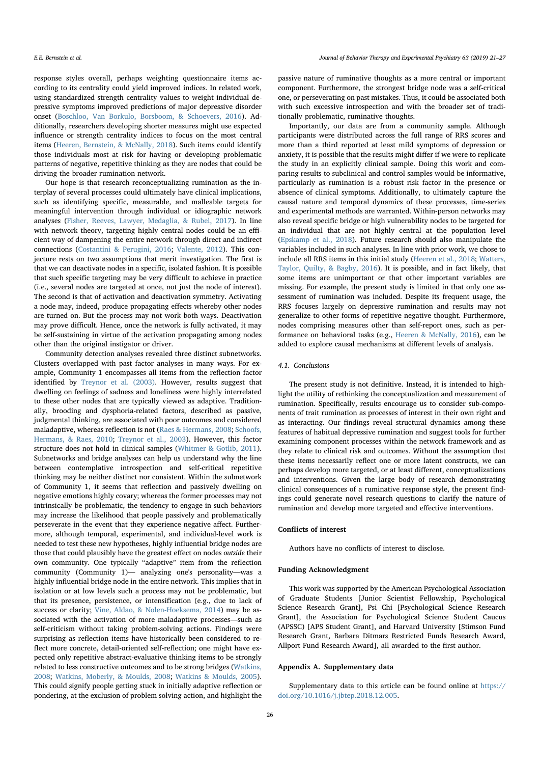response styles overall, perhaps weighting questionnaire items according to its centrality could yield improved indices. In related work, using standardized strength centrality values to weight individual depressive symptoms improved predictions of major depressive disorder onset (Boschloo, Van Borkulo, Borsboom, & Schoevers, 2016). Additionally, researchers developing shorter measures might use expected influence or strength centrality indices to focus on the most central items (Heeren, Bernstein, & McNally, 2018). Such items could identify those individuals most at risk for having or developing problematic patterns of negative, repetitive thinking as they are nodes that could be driving the broader rumination network.

Our hope is that research reconceptualizing rumination as the interplay of several processes could ultimately have clinical implications, such as identifying specific, measurable, and malleable targets for meaningful intervention through individual or idiographic network analyses (Fisher, Reeves, Lawyer, Medaglia, & Rubel, 2017). In line with network theory, targeting highly central nodes could be an efficient way of dampening the entire network through direct and indirect connections (Costantini & Perugini, 2016; Valente, 2012). This conjecture rests on two assumptions that merit investigation. The first is that we can deactivate nodes in a specific, isolated fashion. It is possible that such specific targeting may be very difficult to achieve in practice (i.e., several nodes are targeted at once, not just the node of interest). The second is that of activation and deactivation symmetry. Activating a node may, indeed, produce propagating effects whereby other nodes are turned on. But the process may not work both ways. Deactivation may prove difficult. Hence, once the network is fully activated, it may be self-sustaining in virtue of the activation propagating among nodes other than the original instigator or driver.

Community detection analyses revealed three distinct subnetworks. Clusters overlapped with past factor analyses in many ways. For example, Community 1 encompasses all items from the reflection factor identified by Treynor et al. (2003). However, results suggest that dwelling on feelings of sadness and loneliness were highly interrelated to these other nodes that are typically viewed as adaptive. Traditionally, brooding and dysphoria-related factors, described as passive, judgmental thinking, are associated with poor outcomes and considered maladaptive, whereas reflection is not (Raes & Hermans, 2008; Schoofs, Hermans, & Raes, 2010; Treynor et al., 2003). However, this factor structure does not hold in clinical samples (Whitmer & Gotlib, 2011). Subnetworks and bridge analyses can help us understand why the line between contemplative introspection and self-critical repetitive thinking may be neither distinct nor consistent. Within the subnetwork of Community 1, it seems that reflection and passively dwelling on negative emotions highly covary; whereas the former processes may not intrinsically be problematic, the tendency to engage in such behaviors may increase the likelihood that people passively and problematically perseverate in the event that they experience negative affect. Furthermore, although temporal, experimental, and individual-level work is needed to test these new hypotheses, highly influential bridge nodes are those that could plausibly have the greatest effect on nodes outside their own community. One typically "adaptive" item from the reflection community (Community 1)— analyzing one's personality—was a highly influential bridge node in the entire network. This implies that in isolation or at low levels such a process may not be problematic, but that its presence, persistence, or intensification (e.g., due to lack of success or clarity; Vine, Aldao, & Nolen-Hoeksema, 2014) may be associated with the activation of more maladaptive processes—such as self-criticism without taking problem-solving actions. Findings were surprising as reflection items have historically been considered to reflect more concrete, detail-oriented self-reflection; one might have expected only repetitive abstract-evaluative thinking items to be strongly related to less constructive outcomes and to be strong bridges (Watkins, 2008; Watkins, Moberly, & Moulds, 2008; Watkins & Moulds, 2005). This could signify people getting stuck in initially adaptive reflection or pondering, at the exclusion of problem solving action, and highlight the passive nature of ruminative thoughts as a more central or important component. Furthermore, the strongest bridge node was a self-critical one, or perseverating on past mistakes. Thus, it could be associated both with such excessive introspection and with the broader set of traditionally problematic, ruminative thoughts.

Importantly, our data are from a community sample. Although participants were distributed across the full range of RRS scores and more than a third reported at least mild symptoms of depression or anxiety, it is possible that the results might differ if we were to replicate the study in an explicitly clinical sample. Doing this work and comparing results to subclinical and control samples would be informative, particularly as rumination is a robust risk factor in the presence or absence of clinical symptoms. Additionally, to ultimately capture the causal nature and temporal dynamics of these processes, time-series and experimental methods are warranted. Within-person networks may also reveal specific bridge or high vulnerability nodes to be targeted for an individual that are not highly central at the population level (Epskamp et al., 2018). Future research should also manipulate the variables included in such analyses. In line with prior work, we chose to include all RRS items in this initial study (Heeren et al., 2018; Watters, Taylor, Quilty, & Bagby, 2016). It is possible, and in fact likely, that some items are unimportant or that other important variables are missing. For example, the present study is limited in that only one assessment of rumination was included. Despite its frequent usage, the RRS focuses largely on depressive rumination and results may not generalize to other forms of repetitive negative thought. Furthermore, nodes comprising measures other than self-report ones, such as performance on behavioral tasks (e.g., Heeren & McNally, 2016), can be added to explore causal mechanisms at different levels of analysis.

### 4.1. Conclusions

The present study is not definitive. Instead, it is intended to highlight the utility of rethinking the conceptualization and measurement of rumination. Specifically, results encourage us to consider sub-components of trait rumination as processes of interest in their own right and as interacting. Our findings reveal structural dynamics among these features of habitual depressive rumination and suggest tools for further examining component processes within the network framework and as they relate to clinical risk and outcomes. Without the assumption that these items necessarily reflect one or more latent constructs, we can perhaps develop more targeted, or at least different, conceptualizations and interventions. Given the large body of research demonstrating clinical consequences of a ruminative response style, the present findings could generate novel research questions to clarify the nature of rumination and develop more targeted and effective interventions.

### Conflicts of interest

Authors have no conflicts of interest to disclose.

### Funding Acknowledgment

This work was supported by the American Psychological Association of Graduate Students [Junior Scientist Fellowship, Psychological Science Research Grant], Psi Chi [Psychological Science Research Grant], the Association for Psychological Science Student Caucus (APSSC) [APS Student Grant], and Harvard University [Stimson Fund Research Grant, Barbara Ditmars Restricted Funds Research Award, Allport Fund Research Award], all awarded to the first author.

### Appendix A. Supplementary data

Supplementary data to this article can be found online at https:// doi.org/10.1016/j.jbtep.2018.12.005.